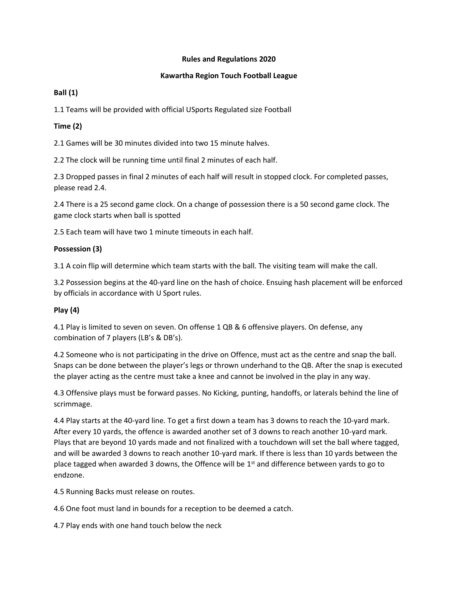### **Rules and Regulations 2020**

### **Kawartha Region Touch Football League**

## **Ball (1)**

1.1 Teams will be provided with official USports Regulated size Football

# **Time (2)**

2.1 Games will be 30 minutes divided into two 15 minute halves.

2.2 The clock will be running time until final 2 minutes of each half.

2.3 Dropped passes in final 2 minutes of each half will result in stopped clock. For completed passes, please read 2.4.

2.4 There is a 25 second game clock. On a change of possession there is a 50 second game clock. The game clock starts when ball is spotted

2.5 Each team will have two 1 minute timeouts in each half.

# **Possession (3)**

3.1 A coin flip will determine which team starts with the ball. The visiting team will make the call.

3.2 Possession begins at the 40-yard line on the hash of choice. Ensuing hash placement will be enforced by officials in accordance with U Sport rules.

# **Play (4)**

4.1 Play is limited to seven on seven. On offense 1 QB & 6 offensive players. On defense, any combination of 7 players (LB's & DB's).

4.2 Someone who is not participating in the drive on Offence, must act as the centre and snap the ball. Snaps can be done between the player's legs or thrown underhand to the QB. After the snap is executed the player acting as the centre must take a knee and cannot be involved in the play in any way.

4.3 Offensive plays must be forward passes. No Kicking, punting, handoffs, or laterals behind the line of scrimmage.

4.4 Play starts at the 40-yard line. To get a first down a team has 3 downs to reach the 10-yard mark. After every 10 yards, the offence is awarded another set of 3 downs to reach another 10-yard mark. Plays that are beyond 10 yards made and not finalized with a touchdown will set the ball where tagged, and will be awarded 3 downs to reach another 10-yard mark. If there is less than 10 yards between the place tagged when awarded 3 downs, the Offence will be  $1<sup>st</sup>$  and difference between yards to go to endzone.

4.5 Running Backs must release on routes.

4.6 One foot must land in bounds for a reception to be deemed a catch.

4.7 Play ends with one hand touch below the neck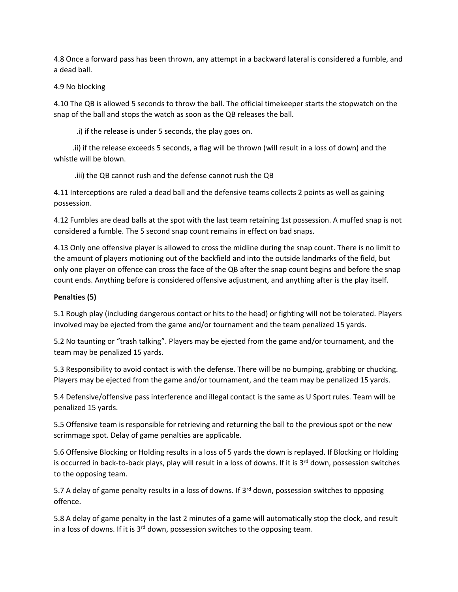4.8 Once a forward pass has been thrown, any attempt in a backward lateral is considered a fumble, and a dead ball.

### 4.9 No blocking

4.10 The QB is allowed 5 seconds to throw the ball. The official timekeeper starts the stopwatch on the snap of the ball and stops the watch as soon as the QB releases the ball.

.i) if the release is under 5 seconds, the play goes on.

 .ii) if the release exceeds 5 seconds, a flag will be thrown (will result in a loss of down) and the whistle will be blown.

.iii) the QB cannot rush and the defense cannot rush the QB

4.11 Interceptions are ruled a dead ball and the defensive teams collects 2 points as well as gaining possession.

4.12 Fumbles are dead balls at the spot with the last team retaining 1st possession. A muffed snap is not considered a fumble. The 5 second snap count remains in effect on bad snaps.

4.13 Only one offensive player is allowed to cross the midline during the snap count. There is no limit to the amount of players motioning out of the backfield and into the outside landmarks of the field, but only one player on offence can cross the face of the QB after the snap count begins and before the snap count ends. Anything before is considered offensive adjustment, and anything after is the play itself.

## **Penalties (5)**

5.1 Rough play (including dangerous contact or hits to the head) or fighting will not be tolerated. Players involved may be ejected from the game and/or tournament and the team penalized 15 yards.

5.2 No taunting or "trash talking". Players may be ejected from the game and/or tournament, and the team may be penalized 15 yards.

5.3 Responsibility to avoid contact is with the defense. There will be no bumping, grabbing or chucking. Players may be ejected from the game and/or tournament, and the team may be penalized 15 yards.

5.4 Defensive/offensive pass interference and illegal contact is the same as U Sport rules. Team will be penalized 15 yards.

5.5 Offensive team is responsible for retrieving and returning the ball to the previous spot or the new scrimmage spot. Delay of game penalties are applicable.

5.6 Offensive Blocking or Holding results in a loss of 5 yards the down is replayed. If Blocking or Holding is occurred in back-to-back plays, play will result in a loss of downs. If it is 3<sup>rd</sup> down, possession switches to the opposing team.

5.7 A delay of game penalty results in a loss of downs. If 3<sup>rd</sup> down, possession switches to opposing offence.

5.8 A delay of game penalty in the last 2 minutes of a game will automatically stop the clock, and result in a loss of downs. If it is  $3<sup>rd</sup>$  down, possession switches to the opposing team.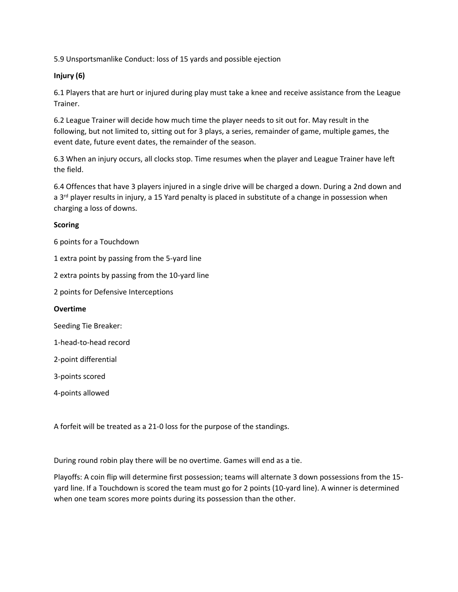5.9 Unsportsmanlike Conduct: loss of 15 yards and possible ejection

### **Injury (6)**

6.1 Players that are hurt or injured during play must take a knee and receive assistance from the League Trainer.

6.2 League Trainer will decide how much time the player needs to sit out for. May result in the following, but not limited to, sitting out for 3 plays, a series, remainder of game, multiple games, the event date, future event dates, the remainder of the season.

6.3 When an injury occurs, all clocks stop. Time resumes when the player and League Trainer have left the field.

6.4 Offences that have 3 players injured in a single drive will be charged a down. During a 2nd down and a  $3<sup>rd</sup>$  player results in injury, a 15 Yard penalty is placed in substitute of a change in possession when charging a loss of downs.

### **Scoring**

6 points for a Touchdown

1 extra point by passing from the 5-yard line

2 extra points by passing from the 10-yard line

2 points for Defensive Interceptions

#### **Overtime**

Seeding Tie Breaker:

1-head-to-head record

2-point differential

3-points scored

4-points allowed

A forfeit will be treated as a 21-0 loss for the purpose of the standings.

During round robin play there will be no overtime. Games will end as a tie.

Playoffs: A coin flip will determine first possession; teams will alternate 3 down possessions from the 15 yard line. If a Touchdown is scored the team must go for 2 points (10-yard line). A winner is determined when one team scores more points during its possession than the other.